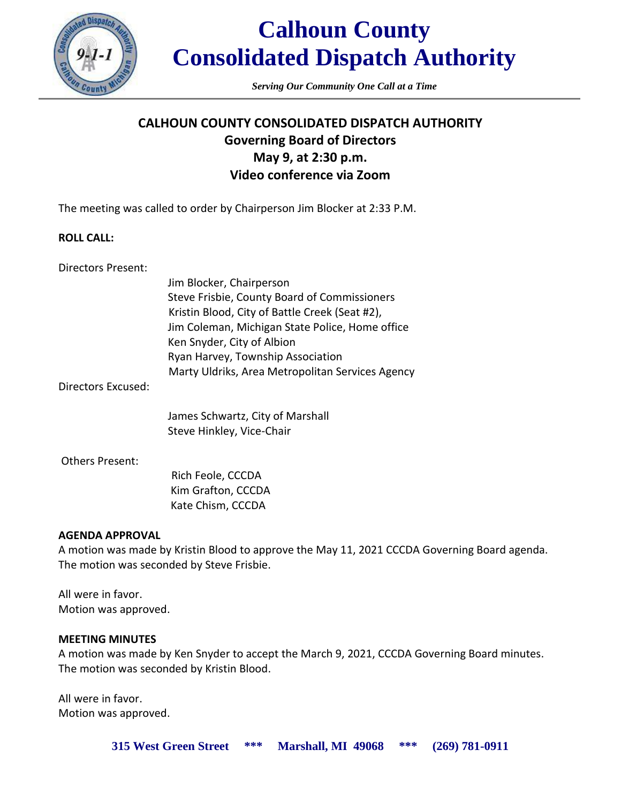

### **Calhoun County Consolidated Dispatch Authority**

*Serving Our Community One Call at a Time*

### **CALHOUN COUNTY CONSOLIDATED DISPATCH AUTHORITY Governing Board of Directors May 9, at 2:30 p.m. Video conference via Zoom**

The meeting was called to order by Chairperson Jim Blocker at 2:33 P.M.

#### **ROLL CALL:**

Directors Present:

| Jim Blocker, Chairperson                         |
|--------------------------------------------------|
| Steve Frisbie, County Board of Commissioners     |
| Kristin Blood, City of Battle Creek (Seat #2),   |
| Jim Coleman, Michigan State Police, Home office  |
| Ken Snyder, City of Albion                       |
| Ryan Harvey, Township Association                |
| Marty Uldriks, Area Metropolitan Services Agency |

Directors Excused:

James Schwartz, City of Marshall Steve Hinkley, Vice-Chair

#### Others Present:

 Rich Feole, CCCDA Kim Grafton, CCCDA Kate Chism, CCCDA

#### **AGENDA APPROVAL**

A motion was made by Kristin Blood to approve the May 11, 2021 CCCDA Governing Board agenda. The motion was seconded by Steve Frisbie.

All were in favor. Motion was approved.

#### **MEETING MINUTES**

A motion was made by Ken Snyder to accept the March 9, 2021, CCCDA Governing Board minutes. The motion was seconded by Kristin Blood.

All were in favor. Motion was approved.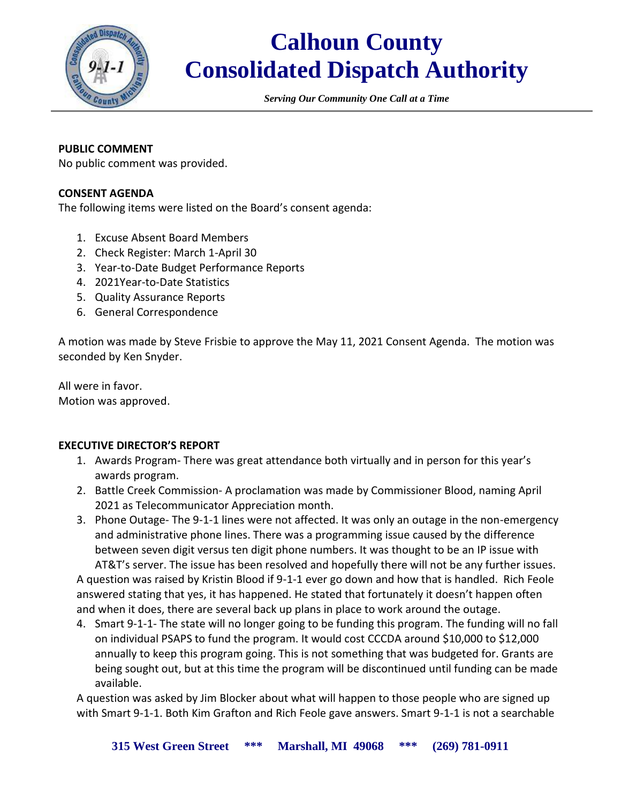

## **Calhoun County Consolidated Dispatch Authority**

*Serving Our Community One Call at a Time*

#### **PUBLIC COMMENT**

No public comment was provided.

#### **CONSENT AGENDA**

The following items were listed on the Board's consent agenda:

- 1. Excuse Absent Board Members
- 2. Check Register: March 1-April 30
- 3. Year-to-Date Budget Performance Reports
- 4. 2021Year-to-Date Statistics
- 5. Quality Assurance Reports
- 6. General Correspondence

A motion was made by Steve Frisbie to approve the May 11, 2021 Consent Agenda. The motion was seconded by Ken Snyder.

All were in favor. Motion was approved.

#### **EXECUTIVE DIRECTOR'S REPORT**

- 1. Awards Program- There was great attendance both virtually and in person for this year's awards program.
- 2. Battle Creek Commission- A proclamation was made by Commissioner Blood, naming April 2021 as Telecommunicator Appreciation month.
- 3. Phone Outage- The 9-1-1 lines were not affected. It was only an outage in the non-emergency and administrative phone lines. There was a programming issue caused by the difference between seven digit versus ten digit phone numbers. It was thought to be an IP issue with AT&T's server. The issue has been resolved and hopefully there will not be any further issues.

A question was raised by Kristin Blood if 9-1-1 ever go down and how that is handled. Rich Feole answered stating that yes, it has happened. He stated that fortunately it doesn't happen often and when it does, there are several back up plans in place to work around the outage.

4. Smart 9-1-1- The state will no longer going to be funding this program. The funding will no fall on individual PSAPS to fund the program. It would cost CCCDA around \$10,000 to \$12,000 annually to keep this program going. This is not something that was budgeted for. Grants are being sought out, but at this time the program will be discontinued until funding can be made available.

A question was asked by Jim Blocker about what will happen to those people who are signed up with Smart 9-1-1. Both Kim Grafton and Rich Feole gave answers. Smart 9-1-1 is not a searchable